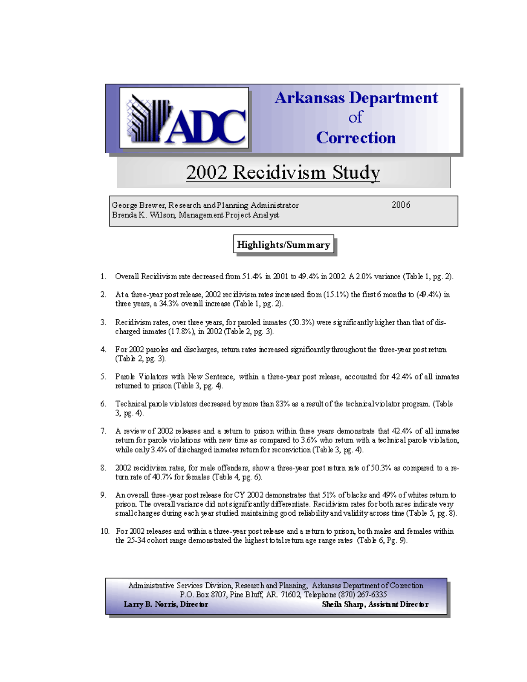

## **Arkansas Department**  $\alpha$ **Correction**

# 2002 Recidivism Study

George Brewer, Research and Planning Administrator Brenda K. Wilson, Management Project Analyst

2006

## **Highlights/Summary**

- 1. Overall Recidivism rate decreased from 51.4% in 2001 to 49.4% in 2002. A 2.0% variance (Table 1, pg. 2).
- At a three-year post release, 2002 rec idivism rates increased from (15.1%) the first 6 months to (49.4%) in 2. three years, a 34.3% overall increase (Table 1, pg. 2).
- 3. Recidivism rates, over three years, for paroled inmates (50.3%) were significantly higher than that of discharged inmates (17.8%), in 2002 (Table 2, pg. 3).
- 4. For 2002 paroles and discharges, return rates increased significantly throughout the three-year post return (Table 2, pg. 3).
- 5. Parole Violators with New Sentence, within a three-year post release, accounted for 42.4% of all inmates returned to prison (Table 3, pg. 4).
- Technical parole violators decreased by more than 83% as a result of the technical violator program. (Table б. 3, pg. 4).
- 7. A review of 2002 releases and a return to prison within three years demonstrate that 42.4% of all inmates return for parole violations with new time as compared to 3.6% who return with a technical parole violation, while only 3.4% of discharged inmates return for reconviction (Table 3, pg. 4).
- 8. 2002 recidivism rates, for male offenders, show a three-year post return rate of 50.3% as compared to a return rate of 40.7% for females (Table 4, pg. 6).
- 9. An overall three-year post release for CY 2002 demonstrates that 51% of blacks and 49% of whites return to prison. The overall variance did not significantly differentiate. Recidivism rates for both races indicate very small charges during each year studied maintaining good reliability and validity across time (Table 5, pg. 8).
- 10. For 2002 releases and within a three-year post release and a return to prison, both males and females within the 25-34 cohort range demonstrated the highest total return age range rates (Table 6, Pg. 9).

Administrative Services Division, Research and Planning, Arkansas Department of Correction P.O. Box 8707, Pine Bluff, AR. 71602, Telephone (870) 267-6335 Larry B. Norris, Director Sheila Sharp, Assistant Director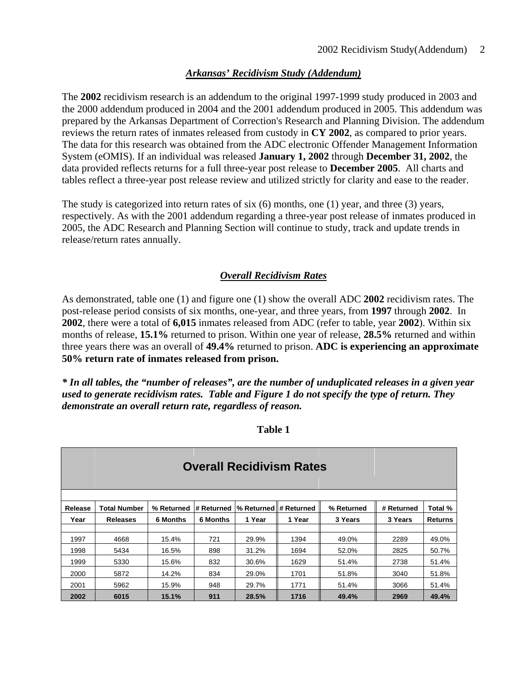## *Arkansas' Recidivism Study (Addendum)*

The **2002** recidivism research is an addendum to the original 1997-1999 study produced in 2003 and the 2000 addendum produced in 2004 and the 2001 addendum produced in 2005. This addendum was prepared by the Arkansas Department of Correction's Research and Planning Division. The addendum reviews the return rates of inmates released from custody in **CY 2002**, as compared to prior years. The data for this research was obtained from the ADC electronic Offender Management Information System (eOMIS). If an individual was released **January 1, 2002** through **December 31, 2002**, the data provided reflects returns for a full three-year post release to **December 2005**. All charts and tables reflect a three-year post release review and utilized strictly for clarity and ease to the reader.

The study is categorized into return rates of six (6) months, one (1) year, and three (3) years, respectively. As with the 2001 addendum regarding a three-year post release of inmates produced in 2005, the ADC Research and Planning Section will continue to study, track and update trends in release/return rates annually.

## *Overall Recidivism Rates*

As demonstrated, table one (1) and figure one (1) show the overall ADC **2002** recidivism rates. The post-release period consists of six months, one-year, and three years, from **1997** through **2002**. In **2002**, there were a total of **6,015** inmates released from ADC (refer to table, year **2002**). Within six months of release, **15.1%** returned to prison. Within one year of release, **28.5%** returned and within three years there was an overall of **49.4%** returned to prison. **ADC is experiencing an approximate 50% return rate of inmates released from prison.**

*\* In all tables, the "number of releases", are the number of unduplicated releases in a given year used to generate recidivism rates. Table and Figure 1 do not specify the type of return. They demonstrate an overall return rate, regardless of reason.* 

**Table 1** 

|         | <b>Overall Recidivism Rates</b> |                 |            |                       |        |            |            |                |  |  |  |
|---------|---------------------------------|-----------------|------------|-----------------------|--------|------------|------------|----------------|--|--|--|
| Release | <b>Total Number</b>             | % Returned      | # Returned | % Returned # Returned |        | % Returned | # Returned | Total %        |  |  |  |
| Year    | <b>Releases</b>                 | <b>6 Months</b> | 6 Months   | 1 Year                | 1 Year | 3 Years    | 3 Years    | <b>Returns</b> |  |  |  |
|         |                                 |                 |            |                       |        |            |            |                |  |  |  |
| 1997    | 4668                            | 15.4%           | 721        | 29.9%                 | 1394   | 49.0%      | 2289       | 49.0%          |  |  |  |
| 1998    | 5434                            | 16.5%           | 898        | 31.2%                 | 1694   | 52.0%      | 2825       | 50.7%          |  |  |  |
| 1999    | 5330                            | 15.6%           | 832        | 30.6%                 | 1629   | 51.4%      | 2738       | 51.4%          |  |  |  |
| 2000    | 5872                            | 14.2%           | 834        | 29.0%                 | 1701   | 51.8%      | 3040       | 51.8%          |  |  |  |
| 2001    | 5962                            | 15.9%           | 948        | 29.7%                 | 1771   | 51.4%      | 3066       | 51.4%          |  |  |  |
| 2002    | 6015                            | 15.1%           | 911        | 28.5%                 | 1716   | 49.4%      | 2969       | 49.4%          |  |  |  |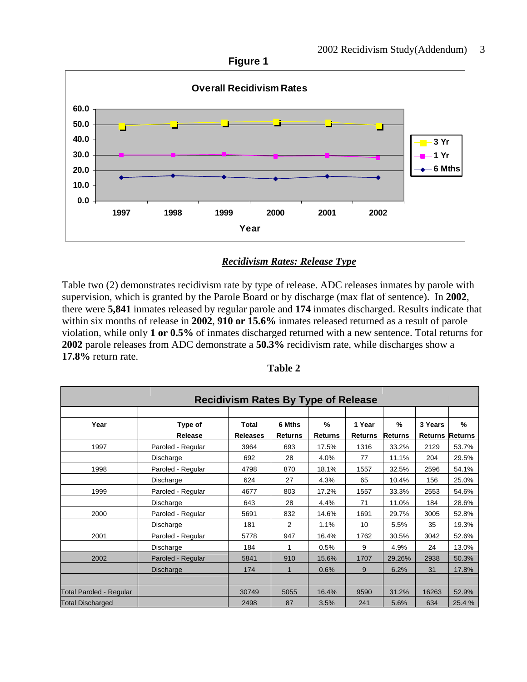

## *Recidivism Rates: Release Type*

Table two (2) demonstrates recidivism rate by type of release. ADC releases inmates by parole with supervision, which is granted by the Parole Board or by discharge (max flat of sentence). In **2002**, there were **5,841** inmates released by regular parole and **174** inmates discharged. Results indicate that within six months of release in **2002**, **910 or 15.6%** inmates released returned as a result of parole violation, while only **1 or 0.5%** of inmates discharged returned with a new sentence. Total returns for **2002** parole releases from ADC demonstrate a **50.3%** recidivism rate, while discharges show a **17.8%** return rate.

| <b>Recidivism Rates By Type of Release</b> |                   |                 |                |                |                |                |                |                |  |
|--------------------------------------------|-------------------|-----------------|----------------|----------------|----------------|----------------|----------------|----------------|--|
|                                            |                   |                 |                |                |                |                |                |                |  |
| Year                                       | Type of           | Total           | 6 Mths         | %              | 1 Year         | %              | 3 Years        | %              |  |
|                                            | Release           | <b>Releases</b> | <b>Returns</b> | <b>Returns</b> | <b>Returns</b> | <b>Returns</b> | <b>Returns</b> | <b>Returns</b> |  |
| 1997                                       | Paroled - Regular | 3964            | 693            | 17.5%          | 1316           | 33.2%          | 2129           | 53.7%          |  |
|                                            | Discharge         | 692             | 28             | 4.0%           | 77             | 11.1%          | 204            | 29.5%          |  |
| 1998                                       | Paroled - Regular | 4798            | 870            | 18.1%          | 1557           | 32.5%          | 2596           | 54.1%          |  |
|                                            | Discharge         | 624             | 27             | 4.3%           | 65             | 10.4%          | 156            | 25.0%          |  |
| 1999                                       | Paroled - Regular | 4677            | 803            | 17.2%          | 1557           | 33.3%          | 2553           | 54.6%          |  |
|                                            | Discharge         | 643             | 28             | 4.4%           | 71             | 11.0%          | 184            | 28.6%          |  |
| 2000                                       | Paroled - Regular | 5691            | 832            | 14.6%          | 1691           | 29.7%          | 3005           | 52.8%          |  |
|                                            | Discharge         | 181             | 2              | 1.1%           | 10             | 5.5%           | 35             | 19.3%          |  |
| 2001                                       | Paroled - Regular | 5778            | 947            | 16.4%          | 1762           | 30.5%          | 3042           | 52.6%          |  |
|                                            | Discharge         | 184             |                | 0.5%           | 9              | 4.9%           | 24             | 13.0%          |  |
| 2002                                       | Paroled - Regular | 5841            | 910            | 15.6%          | 1707           | 29.26%         | 2938           | 50.3%          |  |
|                                            | Discharge         | 174             | 1              | 0.6%           | 9              | 6.2%           | 31             | 17.8%          |  |
|                                            |                   |                 |                |                |                |                |                |                |  |
| <b>Total Paroled - Regular</b>             |                   | 30749           | 5055           | 16.4%          | 9590           | 31.2%          | 16263          | 52.9%          |  |
| <b>Total Discharged</b>                    |                   | 2498            | 87             | 3.5%           | 241            | 5.6%           | 634            | 25.4 %         |  |

| <b>Table 2</b> |  |
|----------------|--|
|----------------|--|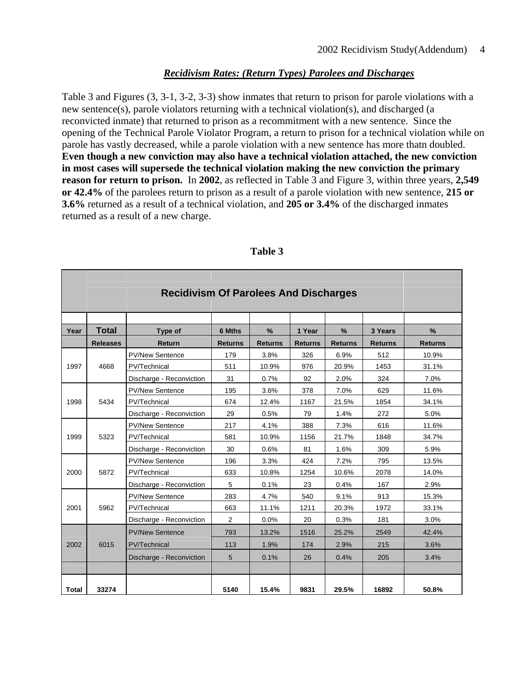## *Recidivism Rates: (Return Types) Parolees and Discharges*

Table 3 and Figures (3, 3-1, 3-2, 3-3) show inmates that return to prison for parole violations with a new sentence(s), parole violators returning with a technical violation(s), and discharged (a reconvicted inmate) that returned to prison as a recommitment with a new sentence. Since the opening of the Technical Parole Violator Program, a return to prison for a technical violation while on parole has vastly decreased, while a parole violation with a new sentence has more thatn doubled. **Even though a new conviction may also have a technical violation attached, the new conviction in most cases will supersede the technical violation making the new conviction the primary reason for return to prison.** In **2002**, as reflected in Table 3 and Figure 3, within three years, **2,549 or 42.4%** of the parolees return to prison as a result of a parole violation with new sentence, **215 or 3.6%** returned as a result of a technical violation, and **205 or 3.4%** of the discharged inmates returned as a result of a new charge.

|              | <b>Recidivism Of Parolees And Discharges</b> |                          |                          |                        |                          |                     |                           |                     |  |  |
|--------------|----------------------------------------------|--------------------------|--------------------------|------------------------|--------------------------|---------------------|---------------------------|---------------------|--|--|
|              |                                              |                          |                          |                        |                          |                     |                           |                     |  |  |
|              | <b>Total</b>                                 |                          |                          |                        |                          |                     |                           |                     |  |  |
| Year         | <b>Releases</b>                              | Type of<br><b>Return</b> | 6 Mths<br><b>Returns</b> | $\%$<br><b>Returns</b> | 1 Year<br><b>Returns</b> | %<br><b>Returns</b> | 3 Years<br><b>Returns</b> | %<br><b>Returns</b> |  |  |
|              |                                              | <b>PV/New Sentence</b>   | 179                      | 3.8%                   | 326                      | 6.9%                | 512                       | 10.9%               |  |  |
| 1997         | 4668                                         | PV/Technical             | 511                      | 10.9%                  | 976                      | 20.9%               | 1453                      | 31.1%               |  |  |
|              |                                              | Discharge - Reconviction | 31                       | 0.7%                   | 92                       | 2.0%                | 324                       | 7.0%                |  |  |
|              |                                              | <b>PV/New Sentence</b>   | 195                      | 3.6%                   | 378                      | 7.0%                | 629                       | 11.6%               |  |  |
| 1998         | 5434                                         | PV/Technical             | 674                      | 12.4%                  | 1167                     | 21.5%               | 1854                      | 34.1%               |  |  |
|              |                                              | Discharge - Reconviction | 29                       | 0.5%                   | 79                       | 1.4%                | 272                       | 5.0%                |  |  |
|              |                                              | <b>PV/New Sentence</b>   | 217                      | 4.1%                   | 388                      | 7.3%                | 616                       | 11.6%               |  |  |
| 1999         | 5323                                         | PV/Technical             | 581                      | 10.9%                  | 1156                     | 21.7%               | 1848                      | 34.7%               |  |  |
|              |                                              | Discharge - Reconviction | 30                       | 0.6%                   | 81                       | 1.6%                | 309                       | 5.9%                |  |  |
|              |                                              | <b>PV/New Sentence</b>   | 196                      | 3.3%                   | 424                      | 7.2%                | 795                       | 13.5%               |  |  |
| 2000         | 5872                                         | PV/Technical             | 633                      | 10.8%                  | 1254                     | 10.6%               | 2078                      | 14.0%               |  |  |
|              |                                              | Discharge - Reconviction | 5                        | 0.1%                   | 23                       | 0.4%                | 167                       | 2.9%                |  |  |
|              |                                              | <b>PV/New Sentence</b>   | 283                      | 4.7%                   | 540                      | 9.1%                | 913                       | 15.3%               |  |  |
| 2001         | 5962                                         | PV/Technical             | 663                      | 11.1%                  | 1211                     | 20.3%               | 1972                      | 33.1%               |  |  |
|              |                                              | Discharge - Reconviction | 2                        | 0.0%                   | 20                       | 0.3%                | 181                       | 3.0%                |  |  |
|              |                                              | <b>PV/New Sentence</b>   | 793                      | 13.2%                  | 1516                     | 25.2%               | 2549                      | 42.4%               |  |  |
| 2002         | 6015                                         | PV/Technical             | 113                      | 1.9%                   | 174                      | 2.9%                | 215                       | 3.6%                |  |  |
|              |                                              | Discharge - Reconviction | 5                        | 0.1%                   | 26                       | 0.4%                | 205                       | 3.4%                |  |  |
|              |                                              |                          |                          |                        |                          |                     |                           |                     |  |  |
|              |                                              |                          |                          |                        |                          |                     |                           |                     |  |  |
| <b>Total</b> | 33274                                        |                          | 5140                     | 15.4%                  | 9831                     | 29.5%               | 16892                     | 50.8%               |  |  |

#### **Table 3**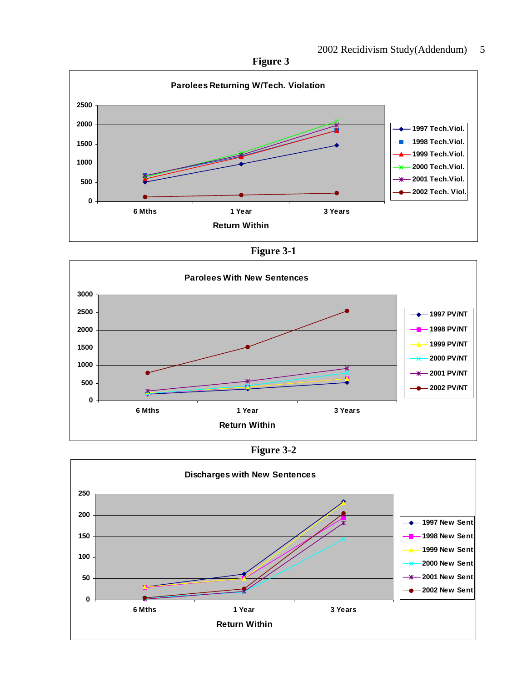**Figure 3** 



**Figure 3-1** 





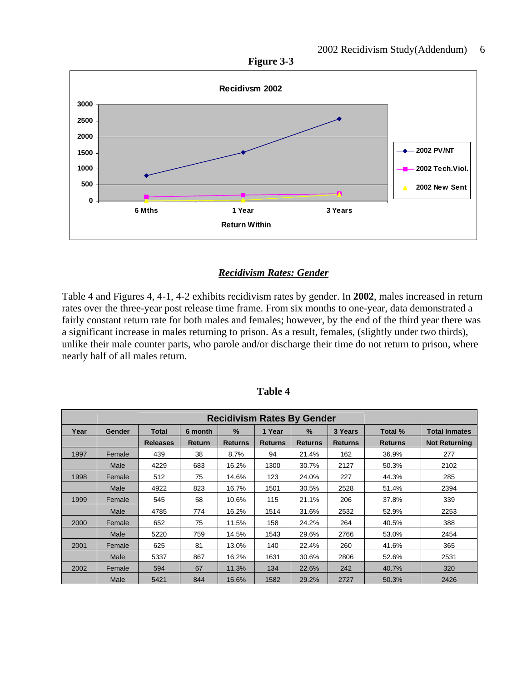



#### *Recidivism Rates: Gender*

Table 4 and Figures 4, 4-1, 4-2 exhibits recidivism rates by gender. In **2002**, males increased in return rates over the three-year post release time frame. From six months to one-year, data demonstrated a fairly constant return rate for both males and females; however, by the end of the third year there was a significant increase in males returning to prison. As a result, females, (slightly under two thirds), unlike their male counter parts, who parole and/or discharge their time do not return to prison, where nearly half of all males return.

| Year | Gender | <b>Total</b>    | 6 month       | $\%$           | 1 Year         | $\%$           | 3 Years        | Total %        | <b>Total Inmates</b> |
|------|--------|-----------------|---------------|----------------|----------------|----------------|----------------|----------------|----------------------|
|      |        | <b>Releases</b> | <b>Return</b> | <b>Returns</b> | <b>Returns</b> | <b>Returns</b> | <b>Returns</b> | <b>Returns</b> | <b>Not Returning</b> |
| 1997 | Female | 439             | 38            | 8.7%           | 94             | 21.4%          | 162            | 36.9%          | 277                  |
|      | Male   | 4229            | 683           | 16.2%          | 1300           | 30.7%          | 2127           | 50.3%          | 2102                 |
| 1998 | Female | 512             | 75            | 14.6%          | 123            | 24.0%          | 227            | 44.3%          | 285                  |
|      | Male   | 4922            | 823           | 16.7%          | 1501           | 30.5%          | 2528           | 51.4%          | 2394                 |
| 1999 | Female | 545             | 58            | 10.6%          | 115            | 21.1%          | 206            | 37.8%          | 339                  |
|      | Male   | 4785            | 774           | 16.2%          | 1514           | 31.6%          | 2532           | 52.9%          | 2253                 |
| 2000 | Female | 652             | 75            | 11.5%          | 158            | 24.2%          | 264            | 40.5%          | 388                  |
|      | Male   | 5220            | 759           | 14.5%          | 1543           | 29.6%          | 2766           | 53.0%          | 2454                 |
| 2001 | Female | 625             | 81            | 13.0%          | 140            | 22.4%          | 260            | 41.6%          | 365                  |
|      | Male   | 5337            | 867           | 16.2%          | 1631           | 30.6%          | 2806           | 52.6%          | 2531                 |
| 2002 | Female | 594             | 67            | 11.3%          | 134            | 22.6%          | 242            | 40.7%          | 320                  |
|      | Male   | 5421            | 844           | 15.6%          | 1582           | 29.2%          | 2727           | 50.3%          | 2426                 |

**Table 4**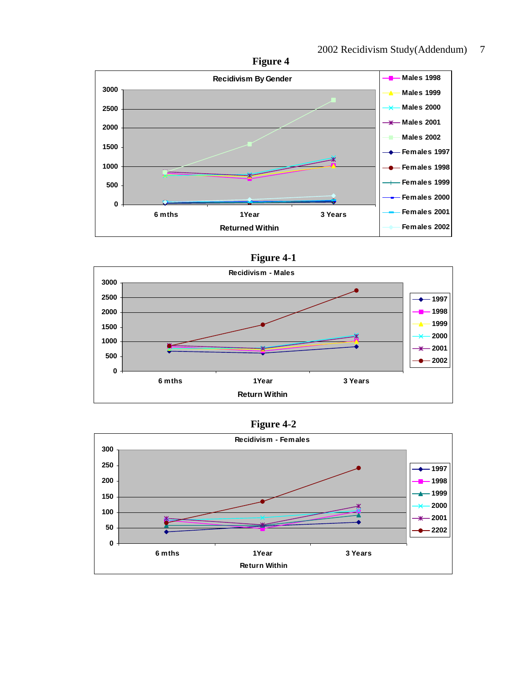



## **Figure 4-1**



## **Figure 4-2**

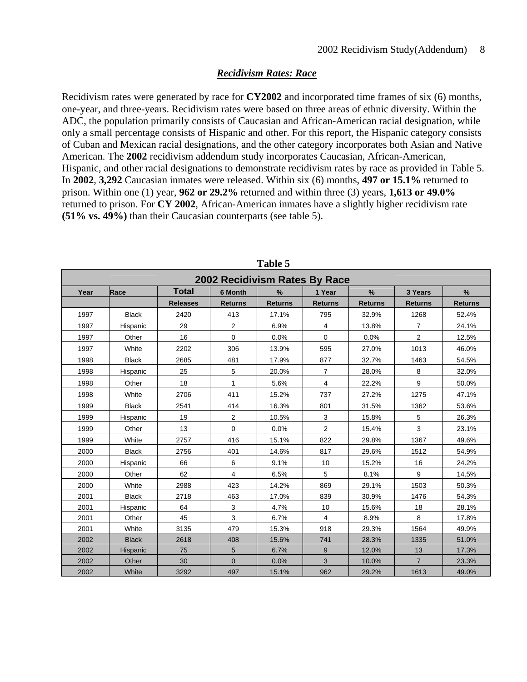## *Recidivism Rates: Race*

Recidivism rates were generated by race for **CY2002** and incorporated time frames of six (6) months, one-year, and three-years. Recidivism rates were based on three areas of ethnic diversity. Within the ADC, the population primarily consists of Caucasian and African-American racial designation, while only a small percentage consists of Hispanic and other. For this report, the Hispanic category consists of Cuban and Mexican racial designations, and the other category incorporates both Asian and Native American. The **2002** recidivism addendum study incorporates Caucasian, African-American, Hispanic, and other racial designations to demonstrate recidivism rates by race as provided in Table 5. In **2002**, **3,292** Caucasian inmates were released. Within six (6) months, **497 or 15.1%** returned to prison. Within one (1) year, **962 or 29.2%** returned and within three (3) years, **1,613 or 49.0%** returned to prison. For **CY 2002**, African-American inmates have a slightly higher recidivism rate **(51% vs. 49%)** than their Caucasian counterparts (see table 5).

|      | 2002 Recidivism Rates By Race |                 |                |                |                |                |                |                |  |  |
|------|-------------------------------|-----------------|----------------|----------------|----------------|----------------|----------------|----------------|--|--|
| Year | Race                          | <b>Total</b>    | <b>6 Month</b> | $\%$           | 1 Year         | %              | 3 Years        | $\frac{9}{6}$  |  |  |
|      |                               | <b>Releases</b> | <b>Returns</b> | <b>Returns</b> | <b>Returns</b> | <b>Returns</b> | <b>Returns</b> | <b>Returns</b> |  |  |
| 1997 | <b>Black</b>                  | 2420            | 413            | 17.1%          | 795            | 32.9%          | 1268           | 52.4%          |  |  |
| 1997 | Hispanic                      | 29              | $\overline{2}$ | 6.9%           | 4              | 13.8%          | $\overline{7}$ | 24.1%          |  |  |
| 1997 | Other                         | 16              | 0              | 0.0%           | $\mathbf 0$    | 0.0%           | $\overline{2}$ | 12.5%          |  |  |
| 1997 | White                         | 2202            | 306            | 13.9%          | 595            | 27.0%          | 1013           | 46.0%          |  |  |
| 1998 | <b>Black</b>                  | 2685            | 481            | 17.9%          | 877            | 32.7%          | 1463           | 54.5%          |  |  |
| 1998 | Hispanic                      | 25              | 5              | 20.0%          | $\overline{7}$ | 28.0%          | 8              | 32.0%          |  |  |
| 1998 | Other                         | 18              | 1              | 5.6%           | 4              | 22.2%          | 9              | 50.0%          |  |  |
| 1998 | White                         | 2706            | 411            | 15.2%          | 737            | 27.2%          | 1275           | 47.1%          |  |  |
| 1999 | <b>Black</b>                  | 2541            | 414            | 16.3%          | 801            | 31.5%          | 1362           | 53.6%          |  |  |
| 1999 | Hispanic                      | 19              | 2              | 10.5%          | 3              | 15.8%          | 5              | 26.3%          |  |  |
| 1999 | Other                         | 13              | 0              | 0.0%           | 2              | 15.4%          | 3              | 23.1%          |  |  |
| 1999 | White                         | 2757            | 416            | 15.1%          | 822            | 29.8%          | 1367           | 49.6%          |  |  |
| 2000 | <b>Black</b>                  | 2756            | 401            | 14.6%          | 817            | 29.6%          | 1512           | 54.9%          |  |  |
| 2000 | Hispanic                      | 66              | 6              | 9.1%           | 10             | 15.2%          | 16             | 24.2%          |  |  |
| 2000 | Other                         | 62              | 4              | 6.5%           | 5              | 8.1%           | 9              | 14.5%          |  |  |
| 2000 | White                         | 2988            | 423            | 14.2%          | 869            | 29.1%          | 1503           | 50.3%          |  |  |
| 2001 | <b>Black</b>                  | 2718            | 463            | 17.0%          | 839            | 30.9%          | 1476           | 54.3%          |  |  |
| 2001 | Hispanic                      | 64              | 3              | 4.7%           | 10             | 15.6%          | 18             | 28.1%          |  |  |
| 2001 | Other                         | 45              | 3              | 6.7%           | 4              | 8.9%           | 8              | 17.8%          |  |  |
| 2001 | White                         | 3135            | 479            | 15.3%          | 918            | 29.3%          | 1564           | 49.9%          |  |  |
| 2002 | <b>Black</b>                  | 2618            | 408            | 15.6%          | 741            | 28.3%          | 1335           | 51.0%          |  |  |
| 2002 | Hispanic                      | 75              | 5              | 6.7%           | 9              | 12.0%          | 13             | 17.3%          |  |  |
| 2002 | Other                         | 30              | $\mathbf 0$    | 0.0%           | 3              | 10.0%          | $\overline{7}$ | 23.3%          |  |  |
| 2002 | White                         | 3292            | 497            | 15.1%          | 962            | 29.2%          | 1613           | 49.0%          |  |  |

**Table 5**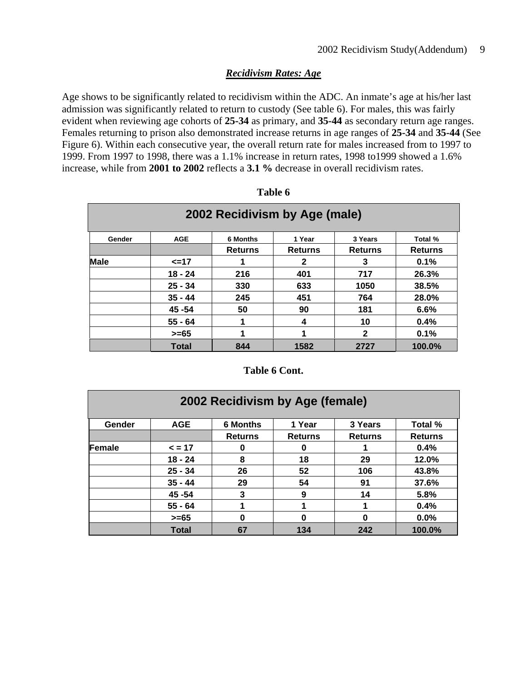## *Recidivism Rates: Age*

Age shows to be significantly related to recidivism within the ADC. An inmate's age at his/her last admission was significantly related to return to custody (See table 6). For males, this was fairly evident when reviewing age cohorts of **25-34** as primary, and **35-44** as secondary return age ranges. Females returning to prison also demonstrated increase returns in age ranges of **25-34** and **35-44** (See Figure 6). Within each consecutive year, the overall return rate for males increased from to 1997 to 1999. From 1997 to 1998, there was a 1.1% increase in return rates, 1998 to1999 showed a 1.6% increase, while from **2001 to 2002** reflects a **3.1 %** decrease in overall recidivism rates.

| 2002 Recidivism by Age (male) |              |                 |                |                |                |  |  |  |  |
|-------------------------------|--------------|-----------------|----------------|----------------|----------------|--|--|--|--|
| Gender                        | <b>AGE</b>   | <b>6 Months</b> | 1 Year         | 3 Years        | Total %        |  |  |  |  |
|                               |              | <b>Returns</b>  | <b>Returns</b> | <b>Returns</b> | <b>Returns</b> |  |  |  |  |
| <b>Male</b>                   | $\leq$ =17   |                 | 2              | 3              | 0.1%           |  |  |  |  |
|                               | $18 - 24$    | 216             | 401            | 717            | 26.3%          |  |  |  |  |
|                               | $25 - 34$    | 330             | 633            | 1050           | 38.5%          |  |  |  |  |
|                               | $35 - 44$    | 245             | 451            | 764            | 28.0%          |  |  |  |  |
|                               | 45 - 54      | 50              | 90             | 181            | 6.6%           |  |  |  |  |
|                               | $55 - 64$    |                 | 4              | 10             | 0.4%           |  |  |  |  |
|                               | $>= 65$      |                 | 1              | $\mathbf{2}$   | 0.1%           |  |  |  |  |
|                               | <b>Total</b> | 844             | 1582           | 2727           | 100.0%         |  |  |  |  |

| anıe |  |
|------|--|
|------|--|

#### **Table 6 Cont.**

| 2002 Recidivism by Age (female) |              |                 |                |                |                |  |  |  |
|---------------------------------|--------------|-----------------|----------------|----------------|----------------|--|--|--|
| Gender                          | <b>AGE</b>   | <b>6 Months</b> | 1 Year         | 3 Years        | Total %        |  |  |  |
|                                 |              | <b>Returns</b>  | <b>Returns</b> | <b>Returns</b> | <b>Returns</b> |  |  |  |
| Female                          | $\leq$ = 17  | 0               | 0              |                | 0.4%           |  |  |  |
|                                 | $18 - 24$    | 8               | 18             | 29             | 12.0%          |  |  |  |
|                                 | $25 - 34$    | 26              | 52             | 106            | 43.8%          |  |  |  |
|                                 | $35 - 44$    | 29              | 54             | 91             | 37.6%          |  |  |  |
|                                 | 45 - 54      | 3               | 9              | 14             | 5.8%           |  |  |  |
|                                 | $55 - 64$    |                 |                |                | 0.4%           |  |  |  |
|                                 | $>= 65$      | 0               | 0              | 0              | 0.0%           |  |  |  |
|                                 | <b>Total</b> | 67              | 134            | 242            | 100.0%         |  |  |  |